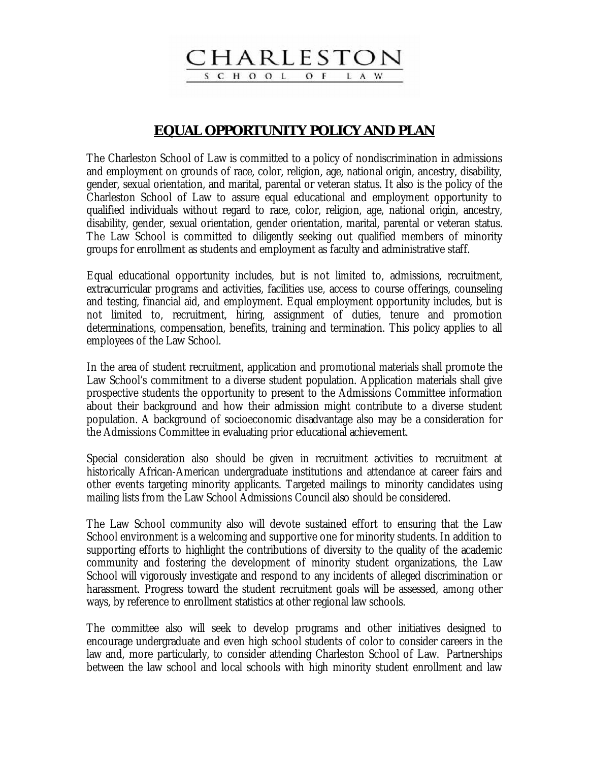**HARLEST** SCHOOL  $O$  F

L A

## **EQUAL OPPORTUNITY POLICY AND PLAN**

The Charleston School of Law is committed to a policy of nondiscrimination in admissions and employment on grounds of race, color, religion, age, national origin, ancestry, disability, gender, sexual orientation, and marital, parental or veteran status. It also is the policy of the Charleston School of Law to assure equal educational and employment opportunity to qualified individuals without regard to race, color, religion, age, national origin, ancestry, disability, gender, sexual orientation, gender orientation, marital, parental or veteran status. The Law School is committed to diligently seeking out qualified members of minority groups for enrollment as students and employment as faculty and administrative staff.

Equal educational opportunity includes, but is not limited to, admissions, recruitment, extracurricular programs and activities, facilities use, access to course offerings, counseling and testing, financial aid, and employment. Equal employment opportunity includes, but is not limited to, recruitment, hiring, assignment of duties, tenure and promotion determinations, compensation, benefits, training and termination. This policy applies to all employees of the Law School.

In the area of student recruitment, application and promotional materials shall promote the Law School's commitment to a diverse student population. Application materials shall give prospective students the opportunity to present to the Admissions Committee information about their background and how their admission might contribute to a diverse student population. A background of socioeconomic disadvantage also may be a consideration for the Admissions Committee in evaluating prior educational achievement.

Special consideration also should be given in recruitment activities to recruitment at historically African-American undergraduate institutions and attendance at career fairs and other events targeting minority applicants. Targeted mailings to minority candidates using mailing lists from the Law School Admissions Council also should be considered.

The Law School community also will devote sustained effort to ensuring that the Law School environment is a welcoming and supportive one for minority students. In addition to supporting efforts to highlight the contributions of diversity to the quality of the academic community and fostering the development of minority student organizations, the Law School will vigorously investigate and respond to any incidents of alleged discrimination or harassment. Progress toward the student recruitment goals will be assessed, among other ways, by reference to enrollment statistics at other regional law schools.

The committee also will seek to develop programs and other initiatives designed to encourage undergraduate and even high school students of color to consider careers in the law and, more particularly, to consider attending Charleston School of Law. Partnerships between the law school and local schools with high minority student enrollment and law